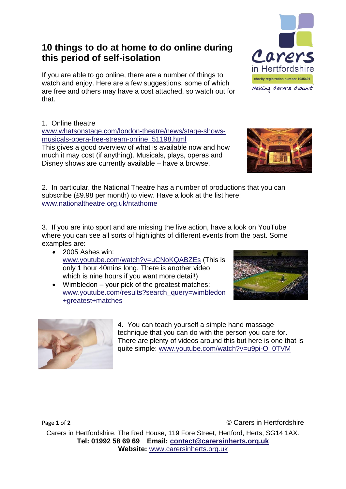## **10 things to do at home to do online during this period of self-isolation**

If you are able to go online, there are a number of things to watch and enjoy. Here are a few suggestions, some of which are free and others may have a cost attached, so watch out for that.

1. Online theatre

[www.whatsonstage.com/london-theatre/news/stage-shows](http://www.whatsonstage.com/london-theatre/news/stage-shows-musicals-opera-free-stream-online_51198.html)[musicals-opera-free-stream-online\\_51198.html](http://www.whatsonstage.com/london-theatre/news/stage-shows-musicals-opera-free-stream-online_51198.html)

This gives a good overview of what is available now and how much it may cost (if anything). Musicals, plays, operas and Disney shows are currently available – have a browse.

2. In particular, the National Theatre has a number of productions that you can subscribe (£9.98 per month) to view. Have a look at the list here: [www.nationaltheatre.org.uk/ntathome](http://www.nationaltheatre.org.uk/ntathome)

3. If you are into sport and are missing the live action, have a look on YouTube where you can see all sorts of highlights of different events from the past. Some examples are:

- 2005 Ashes win: [www.youtube.com/watch?v=uCNoKQABZEs](https://www.youtube.com/watch?v=uCNoKQABZEs) (This is only 1 hour 40mins long. There is another video which is nine hours if you want more detail!)
- Wimbledon your pick of the greatest matches: [www.youtube.com/results?search\\_query=wimbledon](https://www.youtube.com/results?search_query=wimbledon+greatest+matches) [+greatest+matches](https://www.youtube.com/results?search_query=wimbledon+greatest+matches)

4. You can teach yourself a simple hand massage technique that you can do with the person you care for. There are plenty of videos around this but here is one that is quite simple: [www.youtube.com/watch?v=u9pi-O\\_0TVM](https://www.youtube.com/watch?v=u9pi-O_0TVM)

Carers in Hertfordshire, The Red House, 119 Fore Street, Hertford, Herts, SG14 1AX. **Tel: 01992 58 69 69 Email: [contact@carersinherts.org.uk](mailto:contact@carersinherts.org.uk) Website:** [www.carersinherts.org.uk](http://www.carersinherts.org.uk/)







Page 1 of 2 **Carelle 1** of 2 **Carelle 1** of 2 **Carelle 1** of 2 **Carelle 1** of 2 **Carelle 1** of 2